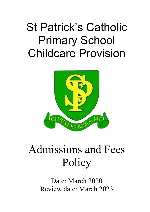# St Patrick's Catholic Primary School Childcare Provision



## Admissions and Fees **Policy**

Date: March 2020 Review date: March 2023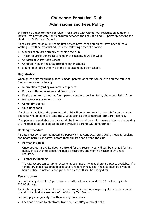### **Childcare Provision Club**

### **Admissions and Fees Policy**

St Patrick's Childcare Provision Club is registered with Ofsted; our registration number is 103088. We provide care for 50 children between the ages of 4 and 11, primarily serving the children of St Patrick's School.

Places are offered on a first-come first-served basis. When all places have been filled a waiting list will be established, with the following order of priority:

- 1. Siblings of children already attending the club
- 2. Those requiring the greatest number of sessions/hours per week
- 3. Children of St Patrick's School
- 4. Children living in the area attending other schools
- 5. Sibling of children who live in the area attending other schools

#### **Registration**

When an enquiry regarding places is made, parents or carers will be given all the relevant Club information, including:

- Information regarding availability of places
- Details of the **Admissions and Fees** policy
- Registration form, medical form, parent contract, booking form, photo permission form
- **Behaviour Management** policy
- **Complaints** policy
- **Club Handbook**

If a place is available, the parents and child will be invited to visit the club for an induction. The child will be able to attend the Club as soon as the completed forms are received.

If no places are available the parent will be inform and the child's name added to the waiting list. As soon as suitable places become available parents will be informed.

#### **Booking procedure**

Parents must complete the necessary paperwork, ie contract, registration, medical, booking and photo permission forms, before their children can attend the club.

• **Permanent place**:

Once booked, if a child does not attend for any reason, you will still be charged for this place. If you wish to cancel the place altogether, one month's notice in writing is required.

#### • **Temporary booking**:

We will accept temporary or occasional bookings as long as there are places available. If a temporary place has been booked and is no longer required, the club must be given 48 hours notice. If notice is not given, the place will still be charged for.

#### **Fee structure**

Fees are charged at £11.00 per session for Afterschool club and £26.00 for Holiday Club £20.00 siblings.

The Club recognises that childcare can be costly, so we encourage eligible parents or carers to claim the childcare element of the Working Tax Credit.

Fees are payable [weekly/monthly/termly] in advance

• Fees can be paid by electronic transfer, ParentPay or direct debit